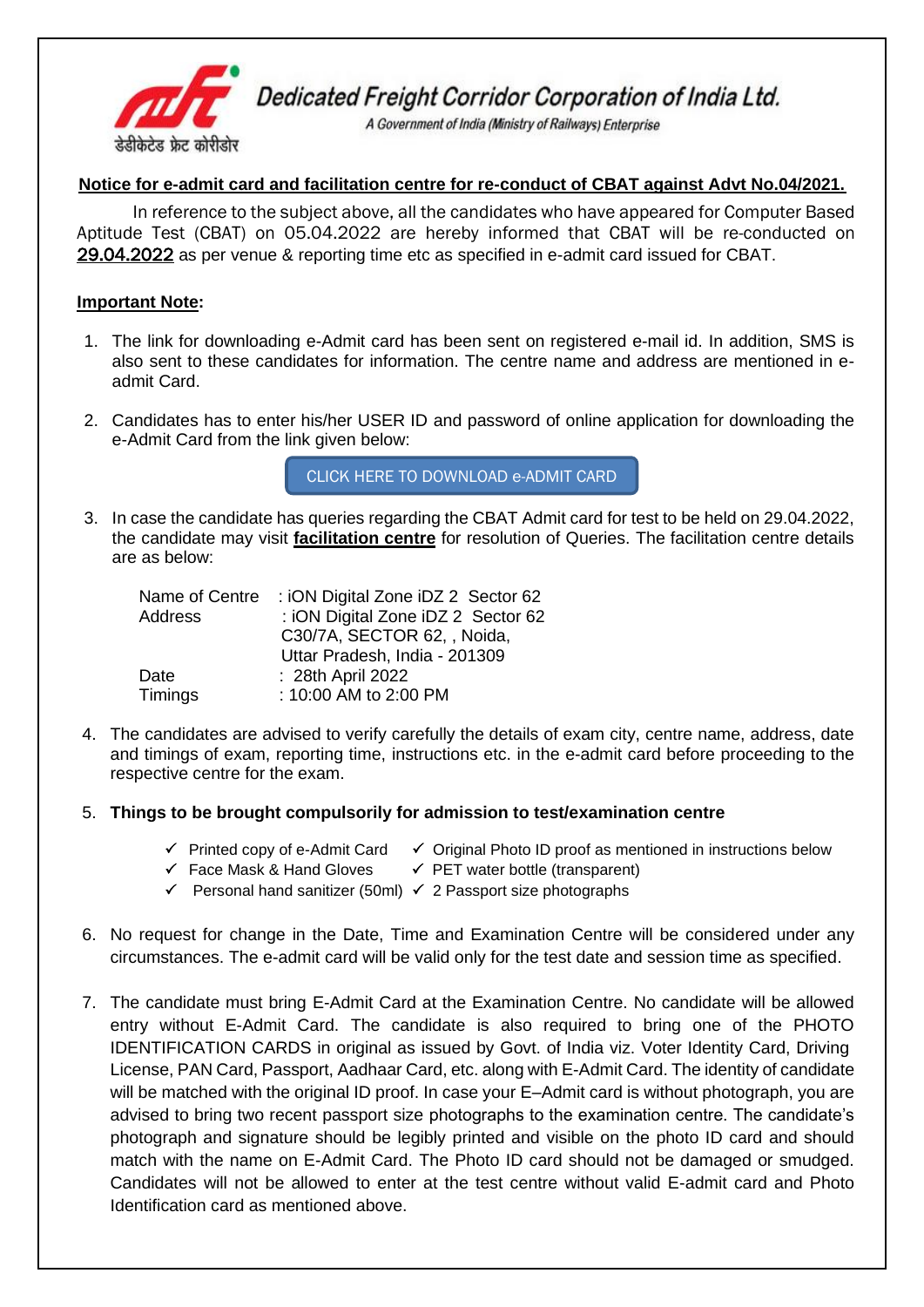

Dedicated Freight Corridor Corporation of India Ltd.

A Government of India (Ministry of Railways) Enterprise

## **Notice for e-admit card and facilitation centre for re-conduct of CBAT against Advt No.04/2021.**

In reference to the subject above, all the candidates who have appeared for Computer Based Aptitude Test (CBAT) on 05.04.2022 are hereby informed that CBAT will be re-conducted on 29.04.2022 as per venue & reporting time etc as specified in e-admit card issued for CBAT.

### **Important Note:**

- 1. The link for downloading e-Admit card has been sent on registered e-mail id. In addition, SMS is also sent to these candidates for information. The centre name and address are mentioned in eadmit Card.
- 2. Candidates has to enter his/her USER ID and password of online application for downloading the e-Admit Card from the link given below:

[CLICK HERE TO DOWNLOAD e-ADMIT CARD](https://cdn.digialm.com/EForms/configuredHtml/1258/70799/login.html)

3. In case the candidate has queries regarding the CBAT Admit card for test to be held on 29.04.2022, the candidate may visit **facilitation centre** for resolution of Queries. The facilitation centre details are as below:

| Name of Centre | : iON Digital Zone iDZ 2 Sector 62 |
|----------------|------------------------------------|
| Address        | : iON Digital Zone iDZ 2 Sector 62 |
|                | C30/7A, SECTOR 62, , Noida,        |
|                | Uttar Pradesh, India - 201309      |
| Date           | : 28th April 2022                  |
| Timings        | : 10:00 AM to 2:00 PM              |

4. The candidates are advised to verify carefully the details of exam city, centre name, address, date and timings of exam, reporting time, instructions etc. in the e-admit card before proceeding to the respective centre for the exam.

## 5. **Things to be brought compulsorily for admission to test/examination centre**

- $\checkmark$  Printed copy of e-Admit Card  $\checkmark$  Original Photo ID proof as mentioned in instructions below
	- Face Mask & Hand Gloves PET water bottle (transparent)
	- Personal hand sanitizer (50ml) 2 Passport size photographs
- 6. No request for change in the Date, Time and Examination Centre will be considered under any circumstances. The e-admit card will be valid only for the test date and session time as specified.
- 7. The candidate must bring E-Admit Card at the Examination Centre. No candidate will be allowed entry without E-Admit Card. The candidate is also required to bring one of the PHOTO IDENTIFICATION CARDS in original as issued by Govt. of India viz. Voter Identity Card, Driving License, PAN Card, Passport, Aadhaar Card, etc. along with E-Admit Card. The identity of candidate will be matched with the original ID proof. In case your E–Admit card is without photograph, you are advised to bring two recent passport size photographs to the examination centre. The candidate's photograph and signature should be legibly printed and visible on the photo ID card and should match with the name on E-Admit Card. The Photo ID card should not be damaged or smudged. Candidates will not be allowed to enter at the test centre without valid E-admit card and Photo Identification card as mentioned above.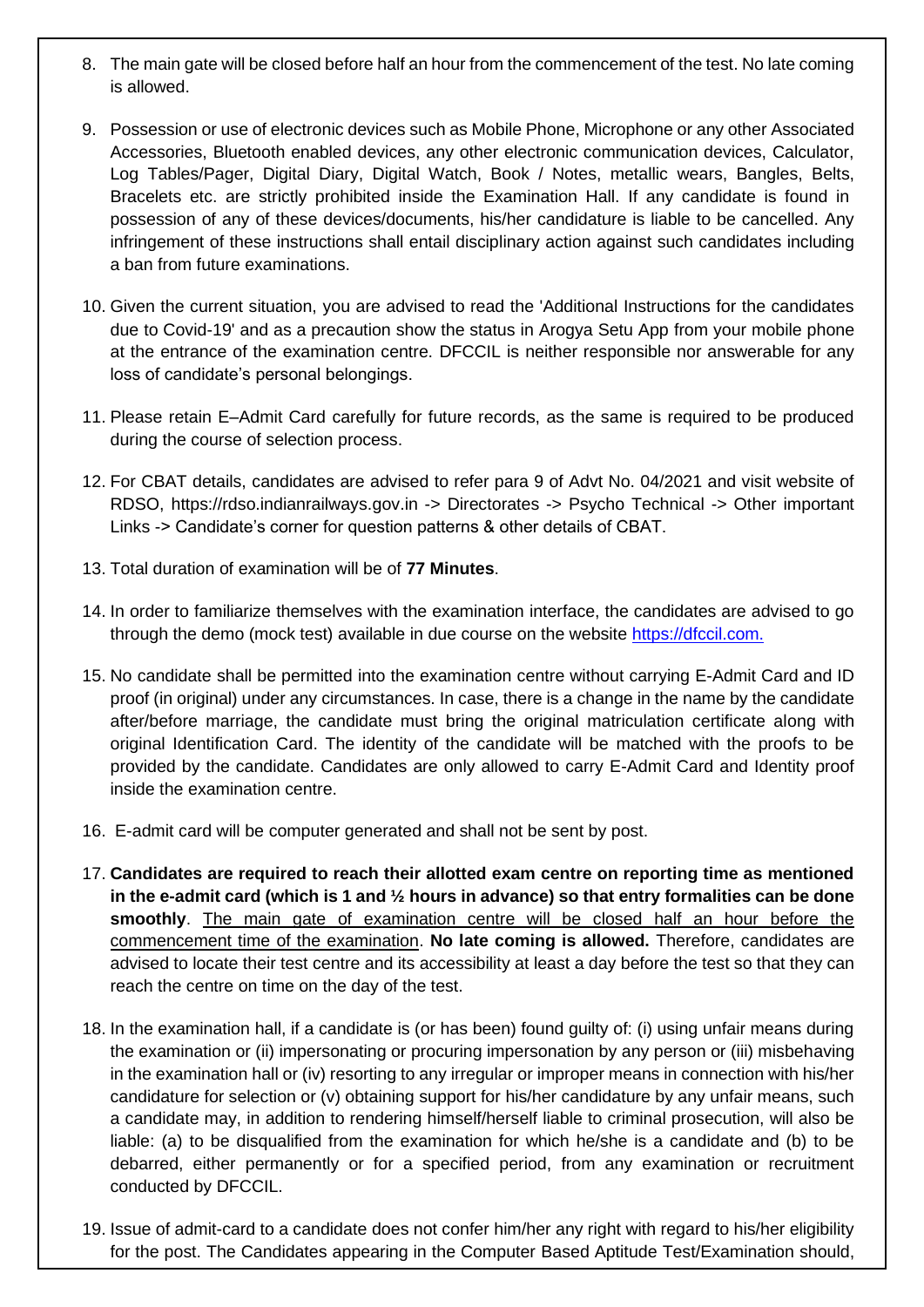- 8. The main gate will be closed before half an hour from the commencement of the test. No late coming is allowed.
- 9. Possession or use of electronic devices such as Mobile Phone, Microphone or any other Associated Accessories, Bluetooth enabled devices, any other electronic communication devices, Calculator, Log Tables/Pager, Digital Diary, Digital Watch, Book / Notes, metallic wears, Bangles, Belts, Bracelets etc. are strictly prohibited inside the Examination Hall. If any candidate is found in possession of any of these devices/documents, his/her candidature is liable to be cancelled. Any infringement of these instructions shall entail disciplinary action against such candidates including a ban from future examinations.
- 10. Given the current situation, you are advised to read the 'Additional Instructions for the candidates due to Covid-19' and as a precaution show the status in Arogya Setu App from your mobile phone at the entrance of the examination centre. DFCCIL is neither responsible nor answerable for any loss of candidate's personal belongings.
- 11. Please retain E–Admit Card carefully for future records, as the same is required to be produced during the course of selection process.
- 12. For CBAT details, candidates are advised to refer para 9 of Advt No. 04/2021 and visit website of RDSO, https://rdso.indianrailways.gov.in -> Directorates -> Psycho Technical -> Other important Links -> Candidate's corner for question patterns & other details of CBAT.
- 13. Total duration of examination will be of **77 Minutes**.
- 14. In order to familiarize themselves with the examination interface, the candidates are advised to go through the demo (mock test) available in due course on the website [https://dfccil.com.](https://dfccil.com/)
- 15. No candidate shall be permitted into the examination centre without carrying E-Admit Card and ID proof (in original) under any circumstances. In case, there is a change in the name by the candidate after/before marriage, the candidate must bring the original matriculation certificate along with original Identification Card. The identity of the candidate will be matched with the proofs to be provided by the candidate. Candidates are only allowed to carry E-Admit Card and Identity proof inside the examination centre.
- 16. E-admit card will be computer generated and shall not be sent by post.
- 17. **Candidates are required to reach their allotted exam centre on reporting time as mentioned in the e-admit card (which is 1 and ½ hours in advance) so that entry formalities can be done smoothly**. The main gate of examination centre will be closed half an hour before the commencement time of the examination. **No late coming is allowed.** Therefore, candidates are advised to locate their test centre and its accessibility at least a day before the test so that they can reach the centre on time on the day of the test.
- 18. In the examination hall, if a candidate is (or has been) found guilty of: (i) using unfair means during the examination or (ii) impersonating or procuring impersonation by any person or (iii) misbehaving in the examination hall or (iv) resorting to any irregular or improper means in connection with his/her candidature for selection or (v) obtaining support for his/her candidature by any unfair means, such a candidate may, in addition to rendering himself/herself liable to criminal prosecution, will also be liable: (a) to be disqualified from the examination for which he/she is a candidate and (b) to be debarred, either permanently or for a specified period, from any examination or recruitment conducted by DFCCIL.
- 19. Issue of admit-card to a candidate does not confer him/her any right with regard to his/her eligibility for the post. The Candidates appearing in the Computer Based Aptitude Test/Examination should,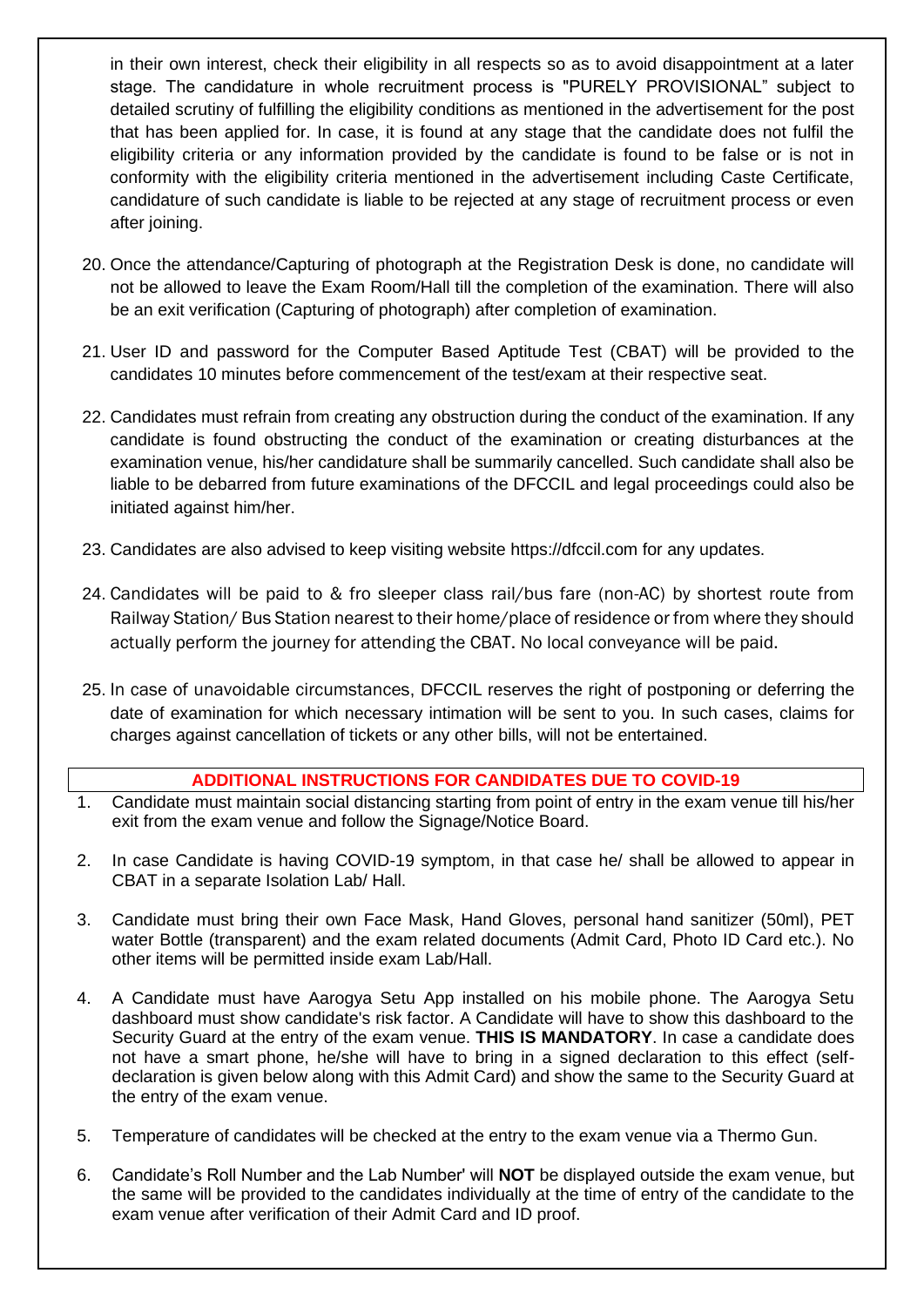in their own interest, check their eligibility in all respects so as to avoid disappointment at a later stage. The candidature in whole recruitment process is "PURELY PROVISIONAL" subject to detailed scrutiny of fulfilling the eligibility conditions as mentioned in the advertisement for the post that has been applied for. In case, it is found at any stage that the candidate does not fulfil the eligibility criteria or any information provided by the candidate is found to be false or is not in conformity with the eligibility criteria mentioned in the advertisement including Caste Certificate, candidature of such candidate is liable to be rejected at any stage of recruitment process or even after joining.

- 20. Once the attendance/Capturing of photograph at the Registration Desk is done, no candidate will not be allowed to leave the Exam Room/Hall till the completion of the examination. There will also be an exit verification (Capturing of photograph) after completion of examination.
- 21. User ID and password for the Computer Based Aptitude Test (CBAT) will be provided to the candidates 10 minutes before commencement of the test/exam at their respective seat.
- 22. Candidates must refrain from creating any obstruction during the conduct of the examination. If any candidate is found obstructing the conduct of the examination or creating disturbances at the examination venue, his/her candidature shall be summarily cancelled. Such candidate shall also be liable to be debarred from future examinations of the DFCCIL and legal proceedings could also be initiated against him/her.
- 23. Candidates are also advised to keep visiting website https://dfccil.com for any updates.
- 24. Candidates will be paid to & fro sleeper class rail/bus fare (non-AC) by shortest route from Railway Station/ Bus Station nearest to their home/place of residence or from where they should actually perform the journey for attending the CBAT. No local conveyance will be paid.
- 25. In case of unavoidable circumstances, DFCCIL reserves the right of postponing or deferring the date of examination for which necessary intimation will be sent to you. In such cases, claims for charges against cancellation of tickets or any other bills, will not be entertained.

## **ADDITIONAL INSTRUCTIONS FOR CANDIDATES DUE TO COVID-19**

- 1. Candidate must maintain social distancing starting from point of entry in the exam venue till his/her exit from the exam venue and follow the Signage/Notice Board.
- 2. In case Candidate is having COVID-19 symptom, in that case he/ shall be allowed to appear in CBAT in a separate Isolation Lab/ Hall.
- 3. Candidate must bring their own Face Mask, Hand Gloves, personal hand sanitizer (50ml), PET water Bottle (transparent) and the exam related documents (Admit Card, Photo ID Card etc.). No other items will be permitted inside exam Lab/Hall.
- 4. A Candidate must have Aarogya Setu App installed on his mobile phone. The Aarogya Setu dashboard must show candidate's risk factor. A Candidate will have to show this dashboard to the Security Guard at the entry of the exam venue. **THIS IS MANDATORY**. In case a candidate does not have a smart phone, he/she will have to bring in a signed declaration to this effect (selfdeclaration is given below along with this Admit Card) and show the same to the Security Guard at the entry of the exam venue.
- 5. Temperature of candidates will be checked at the entry to the exam venue via a Thermo Gun.
- 6. Candidate's Roll Number and the Lab Number' will **NOT** be displayed outside the exam venue, but the same will be provided to the candidates individually at the time of entry of the candidate to the exam venue after verification of their Admit Card and ID proof.